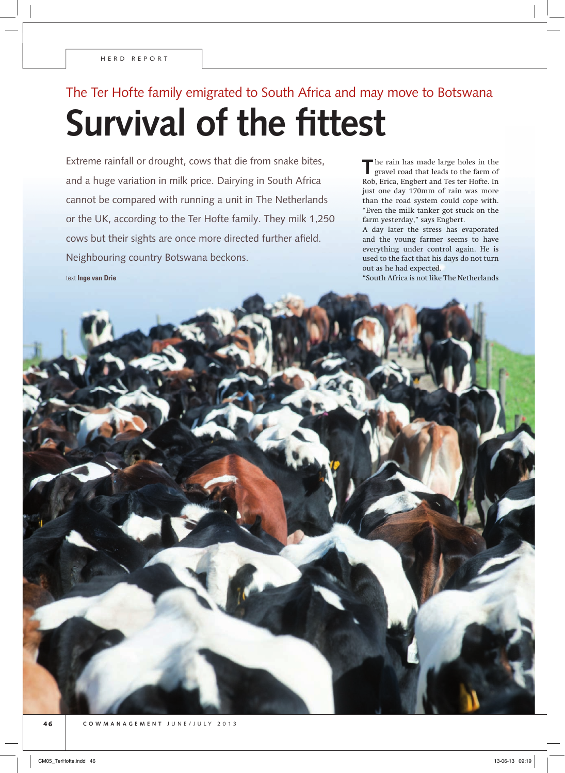text **Inge van Drie**

## The Ter Hofte family emigrated to South Africa and may move to Botswana **Survival of the fittest**

Extreme rainfall or drought, cows that die from snake bites, and a huge variation in milk price. Dairying in South Africa cannot be compared with running a unit in The Netherlands or the UK, according to the Ter Hofte family. They milk 1,250 cows but their sights are once more directed further afield. Neighbouring country Botswana beckons.

**T**he rain has made large holes in the gravel road that leads to the farm of Rob, Erica, Engbert and Tes ter Hofte. In just one day 170mm of rain was more than the road system could cope with. "Even the milk tanker got stuck on the farm yesterday," says Engbert.

A day later the stress has evaporated and the young farmer seems to have everything under control again. He is used to the fact that his days do not turn out as he had expected.

"South Africa is not like The Netherlands